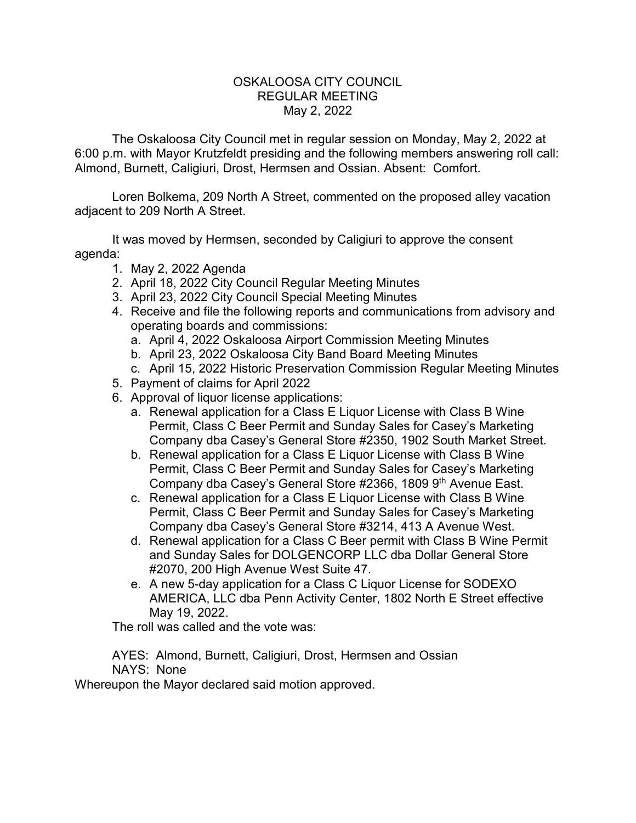## OSKALOOSA CITY COUNCIL REGULAR MEETING May 2, 2022

The Oskaloosa City Council met in regular session on Monday, May 2, 2022 at 6:00 p.m. with Mayor Krutzfeldt presiding and the following members answering roll call: Almond, Burnett, Caligiuri, Drost, Hermsen and Ossian. Absent: Comfort.

Loren Bolkema, 209 North A Street, commented on the proposed alley vacation adjacent to 209 North A Street.

It was moved by Hermsen, seconded by Caligiuri to approve the consent agenda:

- 1. May 2, 2022 Agenda
- 2. April 18, 2022 City Council Regular Meeting Minutes
- 3. April 23, 2022 City Council Special Meeting Minutes
- 4. Receive and file the following reports and communications from advisory and operating boards and commissions:
	- a. April 4, 2022 Oskaloosa Airport Commission Meeting Minutes
	- b. April 23, 2022 Oskaloosa City Band Board Meeting Minutes
	- c. April 15, 2022 Historic Preservation Commission Regular Meeting Minutes
- 5. Payment of claims for April 2022
- 6. Approval of liquor license applications:
	- a. Renewal application for a Class E Liquor License with Class B Wine Permit, Class C Beer Permit and Sunday Sales for Casey's Marketing Company dba Casey's General Store #2350, 1902 South Market Street.
	- b. Renewal application for a Class E Liquor License with Class B Wine Permit, Class C Beer Permit and Sunday Sales for Casey's Marketing Company dba Casey's General Store #2366, 1809 9th Avenue East.
	- c. Renewal application for a Class E Liquor License with Class B Wine Permit, Class C Beer Permit and Sunday Sales for Casey's Marketing Company dba Casey's General Store #3214, 413 A Avenue West.
	- d. Renewal application for a Class C Beer permit with Class B Wine Permit and Sunday Sales for DOLGENCORP LLC dba Dollar General Store #2070, 200 High Avenue West Suite 47.
	- e. A new 5-day application for a Class C Liquor License for SODEXO AMERICA, LLC dba Penn Activity Center, 1802 North E Street effective May 19, 2022.

The roll was called and the vote was:

AYES: Almond, Burnett, Caligiuri, Drost, Hermsen and Ossian NAYS: None

Whereupon the Mayor declared said motion approved.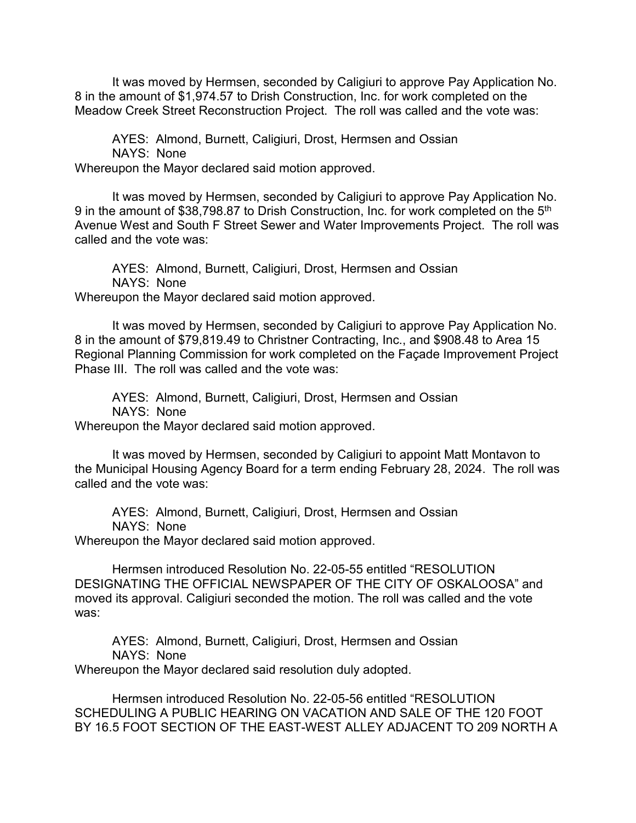It was moved by Hermsen, seconded by Caligiuri to approve Pay Application No. 8 in the amount of \$1,974.57 to Drish Construction, Inc. for work completed on the Meadow Creek Street Reconstruction Project. The roll was called and the vote was:

AYES: Almond, Burnett, Caligiuri, Drost, Hermsen and Ossian NAYS: None Whereupon the Mayor declared said motion approved.

It was moved by Hermsen, seconded by Caligiuri to approve Pay Application No. 9 in the amount of \$38,798.87 to Drish Construction, Inc. for work completed on the 5<sup>th</sup> Avenue West and South F Street Sewer and Water Improvements Project. The roll was called and the vote was:

AYES: Almond, Burnett, Caligiuri, Drost, Hermsen and Ossian NAYS: None Whereupon the Mayor declared said motion approved.

It was moved by Hermsen, seconded by Caligiuri to approve Pay Application No. 8 in the amount of \$79,819.49 to Christner Contracting, Inc., and \$908.48 to Area 15 Regional Planning Commission for work completed on the Façade Improvement Project Phase III. The roll was called and the vote was:

AYES: Almond, Burnett, Caligiuri, Drost, Hermsen and Ossian NAYS: None Whereupon the Mayor declared said motion approved.

It was moved by Hermsen, seconded by Caligiuri to appoint Matt Montavon to the Municipal Housing Agency Board for a term ending February 28, 2024. The roll was called and the vote was:

AYES: Almond, Burnett, Caligiuri, Drost, Hermsen and Ossian NAYS: None

Whereupon the Mayor declared said motion approved.

Hermsen introduced Resolution No. 22-05-55 entitled "RESOLUTION DESIGNATING THE OFFICIAL NEWSPAPER OF THE CITY OF OSKALOOSA" and moved its approval. Caligiuri seconded the motion. The roll was called and the vote was:

AYES: Almond, Burnett, Caligiuri, Drost, Hermsen and Ossian NAYS: None

Whereupon the Mayor declared said resolution duly adopted.

Hermsen introduced Resolution No. 22-05-56 entitled "RESOLUTION SCHEDULING A PUBLIC HEARING ON VACATION AND SALE OF THE 120 FOOT BY 16.5 FOOT SECTION OF THE EAST-WEST ALLEY ADJACENT TO 209 NORTH A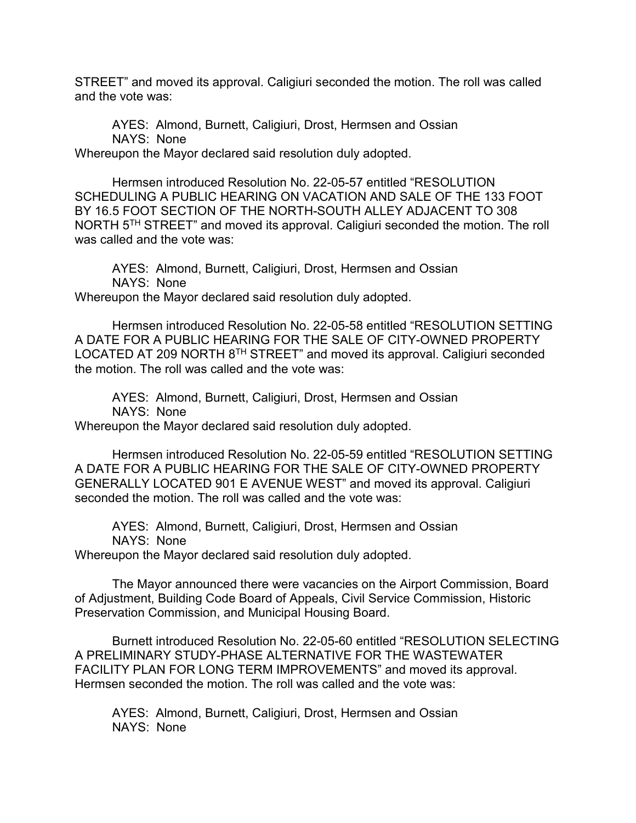STREET" and moved its approval. Caligiuri seconded the motion. The roll was called and the vote was:

AYES: Almond, Burnett, Caligiuri, Drost, Hermsen and Ossian NAYS: None Whereupon the Mayor declared said resolution duly adopted.

Hermsen introduced Resolution No. 22-05-57 entitled "RESOLUTION SCHEDULING A PUBLIC HEARING ON VACATION AND SALE OF THE 133 FOOT BY 16.5 FOOT SECTION OF THE NORTH-SOUTH ALLEY ADJACENT TO 308 NORTH 5TH STREET" and moved its approval. Caligiuri seconded the motion. The roll was called and the vote was:

AYES: Almond, Burnett, Caligiuri, Drost, Hermsen and Ossian NAYS: None Whereupon the Mayor declared said resolution duly adopted.

Hermsen introduced Resolution No. 22-05-58 entitled "RESOLUTION SETTING A DATE FOR A PUBLIC HEARING FOR THE SALE OF CITY-OWNED PROPERTY LOCATED AT 209 NORTH 8<sup>TH</sup> STREET" and moved its approval. Caligiuri seconded the motion. The roll was called and the vote was:

AYES: Almond, Burnett, Caligiuri, Drost, Hermsen and Ossian NAYS: None Whereupon the Mayor declared said resolution duly adopted.

Hermsen introduced Resolution No. 22-05-59 entitled "RESOLUTION SETTING A DATE FOR A PUBLIC HEARING FOR THE SALE OF CITY-OWNED PROPERTY GENERALLY LOCATED 901 E AVENUE WEST" and moved its approval. Caligiuri seconded the motion. The roll was called and the vote was:

AYES: Almond, Burnett, Caligiuri, Drost, Hermsen and Ossian NAYS: None Whereupon the Mayor declared said resolution duly adopted.

The Mayor announced there were vacancies on the Airport Commission, Board of Adjustment, Building Code Board of Appeals, Civil Service Commission, Historic

Preservation Commission, and Municipal Housing Board.

Burnett introduced Resolution No. 22-05-60 entitled "RESOLUTION SELECTING A PRELIMINARY STUDY-PHASE ALTERNATIVE FOR THE WASTEWATER FACILITY PLAN FOR LONG TERM IMPROVEMENTS" and moved its approval. Hermsen seconded the motion. The roll was called and the vote was:

AYES: Almond, Burnett, Caligiuri, Drost, Hermsen and Ossian NAYS: None